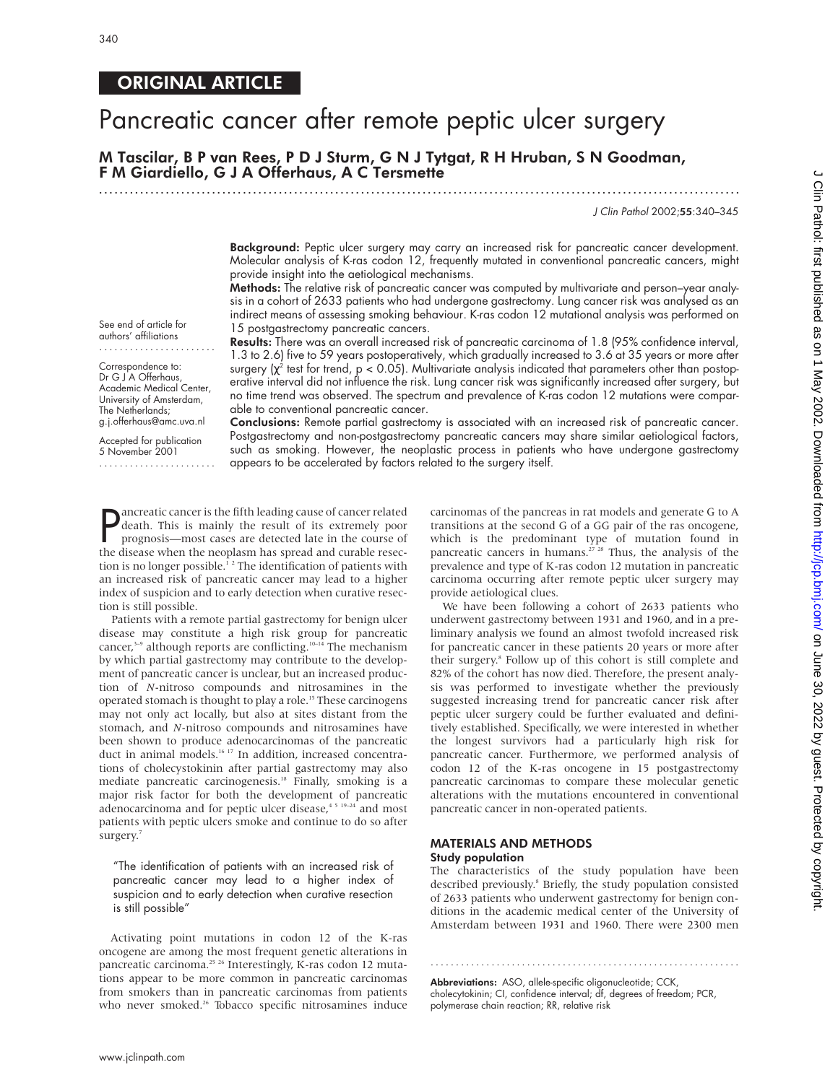See end of article for authors' affiliations ....................... Correspondence to: Dr G J A Offerhaus, Academic Medical Center, University of Amsterdam, The Netherlands; g.j.offerhaus@amc.uva.nl Accepted for publication 5 November 2001 .......................

# ORIGINAL ARTICLE

# Pancreatic cancer after remote peptic ulcer surgery

# M Tascilar, B P van Rees,PDJ Sturm,GNJ Tytgat, R H Hruban, S N Goodman, F M Giardiello, G J A Offerhaus, A C Tersmette

.............................................................................................................................

# J Clin Pathol 2002;55:340–345

Background: Peptic ulcer surgery may carry an increased risk for pancreatic cancer development. Molecular analysis of K-ras codon 12, frequently mutated in conventional pancreatic cancers, might provide insight into the aetiological mechanisms.

Methods: The relative risk of pancreatic cancer was computed by multivariate and person–year analysis in a cohort of 2633 patients who had undergone gastrectomy. Lung cancer risk was analysed as an indirect means of assessing smoking behaviour. K-ras codon 12 mutational analysis was performed on 15 postgastrectomy pancreatic cancers.

Results: There was an overall increased risk of pancreatic carcinoma of 1.8 (95% confidence interval, 1.3 to 2.6) five to 59 years postoperatively, which gradually increased to 3.6 at 35 years or more after surgery  $\chi^2$  test for trend, p < 0.05). Multivariate analysis indicated that parameters other than postoperative interval did not influence the risk. Lung cancer risk was significantly increased after surgery, but no time trend was observed. The spectrum and prevalence of K-ras codon 12 mutations were comparable to conventional pancreatic cancer.

Conclusions: Remote partial gastrectomy is associated with an increased risk of pancreatic cancer. Postgastrectomy and non-postgastrectomy pancreatic cancers may share similar aetiological factors, such as smoking. However, the neoplastic process in patients who have undergone gastrectomy appears to be accelerated by factors related to the surgery itself.

 $\mathsf{P}$ ancreatic cancer is the fifth leading cause of cancer related death. This is mainly the result of its extremely poor prognosis—most cases are detected late in the course of the disease when the neoplasm has spread and curable resection is no longer possible.<sup>12</sup> The identification of patients with an increased risk of pancreatic cancer may lead to a higher index of suspicion and to early detection when curative resection is still possible.

Patients with a remote partial gastrectomy for benign ulcer disease may constitute a high risk group for pancreatic cancer,<sup>3-9</sup> although reports are conflicting.<sup>10-14</sup> The mechanism by which partial gastrectomy may contribute to the development of pancreatic cancer is unclear, but an increased production of *N*-nitroso compounds and nitrosamines in the operated stomach is thought to play a role.<sup>15</sup> These carcinogens may not only act locally, but also at sites distant from the stomach, and *N*-nitroso compounds and nitrosamines have been shown to produce adenocarcinomas of the pancreatic duct in animal models.16 17 In addition, increased concentrations of cholecystokinin after partial gastrectomy may also mediate pancreatic carcinogenesis.<sup>18</sup> Finally, smoking is a major risk factor for both the development of pancreatic adenocarcinoma and for peptic ulcer disease, $45 19-24$  and most patients with peptic ulcers smoke and continue to do so after surgery.<sup>7</sup>

"The identification of patients with an increased risk of pancreatic cancer may lead to a higher index of suspicion and to early detection when curative resection is still possible"

Activating point mutations in codon 12 of the K-ras oncogene are among the most frequent genetic alterations in pancreatic carcinoma.<sup>25 26</sup> Interestingly, K-ras codon 12 mutations appear to be more common in pancreatic carcinomas from smokers than in pancreatic carcinomas from patients who never smoked.<sup>26</sup> Tobacco specific nitrosamines induce

carcinomas of the pancreas in rat models and generate G to A transitions at the second G of a GG pair of the ras oncogene, which is the predominant type of mutation found in pancreatic cancers in humans.<sup>27,28</sup> Thus, the analysis of the prevalence and type of K-ras codon 12 mutation in pancreatic carcinoma occurring after remote peptic ulcer surgery may provide aetiological clues.

We have been following a cohort of 2633 patients who underwent gastrectomy between 1931 and 1960, and in a preliminary analysis we found an almost twofold increased risk for pancreatic cancer in these patients 20 years or more after their surgery.8 Follow up of this cohort is still complete and 82% of the cohort has now died. Therefore, the present analysis was performed to investigate whether the previously suggested increasing trend for pancreatic cancer risk after peptic ulcer surgery could be further evaluated and definitively established. Specifically, we were interested in whether the longest survivors had a particularly high risk for pancreatic cancer. Furthermore, we performed analysis of codon 12 of the K-ras oncogene in 15 postgastrectomy pancreatic carcinomas to compare these molecular genetic alterations with the mutations encountered in conventional pancreatic cancer in non-operated patients.

## MATERIALS AND METHODS Study population

The characteristics of the study population have been described previously.<sup>8</sup> Briefly, the study population consisted of 2633 patients who underwent gastrectomy for benign conditions in the academic medical center of the University of Amsterdam between 1931 and 1960. There were 2300 men

.............................................................

Abbreviations: ASO, allele-specific oligonucleotide; CCK, cholecytokinin; CI, confidence interval; df, degrees of freedom; PCR, polymerase chain reaction; RR, relative risk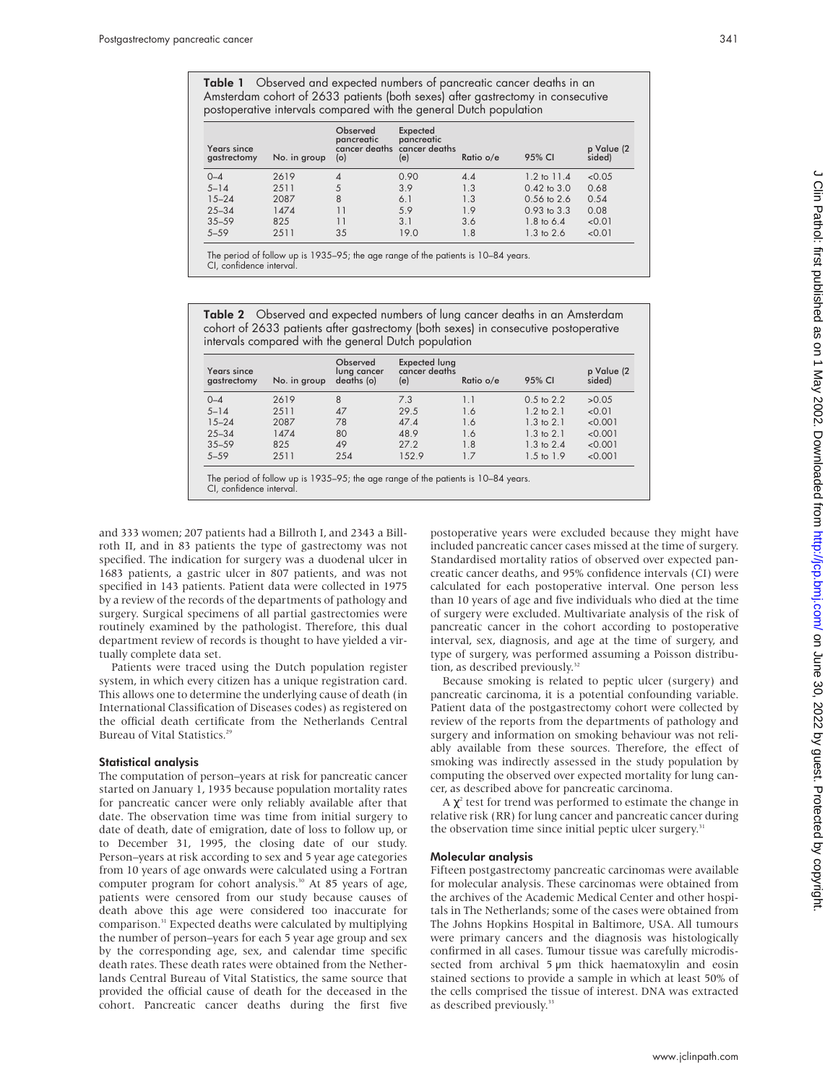Table 1 Observed and expected numbers of pancreatic cancer deaths in an Amsterdam cohort of 2633 patients (both sexes) after gastrectomy in consecutive postoperative intervals compared with the general Dutch population

| Years since<br>gastrectomy | No. in group | Observed<br>pancreatic<br>(o) | Expected<br>pancreatic<br>cancer deaths cancer deaths<br>(e) | Ratio o/e | 95% CI                 | p Value (2<br>sided) |
|----------------------------|--------------|-------------------------------|--------------------------------------------------------------|-----------|------------------------|----------------------|
| $0 - 4$                    | 2619         | 4                             | 0.90                                                         | 4.4       | $1.2 \text{ to } 11.4$ | < 0.05               |
| $5 - 14$                   | 2511         |                               | 3.9                                                          | 1.3       | $0.42$ to $3.0$        | 0.68                 |
| $15 - 24$                  | 2087         | 8                             | 6.1                                                          | 1.3       | $0.56$ to $2.6$        | 0.54                 |
| $25 - 34$                  | 1474         |                               | 5.9                                                          | 1.9       | $0.93$ to $3.3$        | 0.08                 |
| $35 - 59$                  | 825          | 11                            | 3.1                                                          | 3.6       | 1.8 to 6.4             | < 0.01               |
| $5 - 59$                   | 2511         | 35                            | 19.0                                                         | 1.8       | $1.3 \text{ to } 2.6$  | < 0.01               |

The period of follow up is 1935–95; the age range of the patients is 10–84 years. CI, confidence interval.

Table 2 Observed and expected numbers of lung cancer deaths in an Amsterdam cohort of 2633 patients after gastrectomy (both sexes) in consecutive postoperative intervals compared with the general Dutch population

| Years since<br>gastrectomy | No. in group | Observed<br>lung cancer<br>deaths (o) | <b>Expected lung</b><br>cancer deaths<br>(e) | Ratio o/e | 95% CI                | p Value (2<br>sided) |
|----------------------------|--------------|---------------------------------------|----------------------------------------------|-----------|-----------------------|----------------------|
| $0 - 4$                    | 2619         | 8                                     | 7.3                                          | 1.1       | $0.5$ to $2.2$        | >0.05                |
| $5 - 14$                   | 2511         | 47                                    | 29.5                                         | 1.6       | $1.2$ to $2.1$        | < 0.01               |
| $15 - 24$                  | 2087         | 78                                    | 47.4                                         | 1.6       | $1.3$ to $2.1$        | < 0.001              |
| $25 - 34$                  | 1474         | 80                                    | 48.9                                         | 1.6       | $1.3 \text{ to } 2.1$ | < 0.001              |
| $35 - 59$                  | 825          | 49                                    | 27.2                                         | 1.8       | $1.3$ to $2.4$        | < 0.001              |
| $5 - 59$                   | 2511         | 254                                   | 152.9                                        | 1.7       | $1.5 \text{ to } 1.9$ | < 0.001              |

CI, confidence interval.

and 333 women; 207 patients had a Billroth I, and 2343 a Billroth II, and in 83 patients the type of gastrectomy was not specified. The indication for surgery was a duodenal ulcer in 1683 patients, a gastric ulcer in 807 patients, and was not specified in 143 patients. Patient data were collected in 1975 by a review of the records of the departments of pathology and surgery. Surgical specimens of all partial gastrectomies were routinely examined by the pathologist. Therefore, this dual department review of records is thought to have yielded a virtually complete data set.

Patients were traced using the Dutch population register system, in which every citizen has a unique registration card. This allows one to determine the underlying cause of death (in International Classification of Diseases codes) as registered on the official death certificate from the Netherlands Central Bureau of Vital Statistics.<sup>25</sup>

## Statistical analysis

The computation of person–years at risk for pancreatic cancer started on January 1, 1935 because population mortality rates for pancreatic cancer were only reliably available after that date. The observation time was time from initial surgery to date of death, date of emigration, date of loss to follow up, or to December 31, 1995, the closing date of our study. Person–years at risk according to sex and 5 year age categories from 10 years of age onwards were calculated using a Fortran computer program for cohort analysis.<sup>30</sup> At 85 years of age, patients were censored from our study because causes of death above this age were considered too inaccurate for comparison.<sup>31</sup> Expected deaths were calculated by multiplying the number of person–years for each 5 year age group and sex by the corresponding age, sex, and calendar time specific death rates. These death rates were obtained from the Netherlands Central Bureau of Vital Statistics, the same source that provided the official cause of death for the deceased in the cohort. Pancreatic cancer deaths during the first five

postoperative years were excluded because they might have included pancreatic cancer cases missed at the time of surgery. Standardised mortality ratios of observed over expected pancreatic cancer deaths, and 95% confidence intervals (CI) were calculated for each postoperative interval. One person less than 10 years of age and five individuals who died at the time of surgery were excluded. Multivariate analysis of the risk of pancreatic cancer in the cohort according to postoperative interval, sex, diagnosis, and age at the time of surgery, and type of surgery, was performed assuming a Poisson distribution, as described previously.<sup>32</sup>

Because smoking is related to peptic ulcer (surgery) and pancreatic carcinoma, it is a potential confounding variable. Patient data of the postgastrectomy cohort were collected by review of the reports from the departments of pathology and surgery and information on smoking behaviour was not reliably available from these sources. Therefore, the effect of smoking was indirectly assessed in the study population by computing the observed over expected mortality for lung cancer, as described above for pancreatic carcinoma.

A  $\chi^2$  test for trend was performed to estimate the change in relative risk (RR) for lung cancer and pancreatic cancer during the observation time since initial peptic ulcer surgery.<sup>31</sup>

## Molecular analysis

Fifteen postgastrectomy pancreatic carcinomas were available for molecular analysis. These carcinomas were obtained from the archives of the Academic Medical Center and other hospitals in The Netherlands; some of the cases were obtained from The Johns Hopkins Hospital in Baltimore, USA. All tumours were primary cancers and the diagnosis was histologically confirmed in all cases. Tumour tissue was carefully microdissected from archival 5 µm thick haematoxylin and eosin stained sections to provide a sample in which at least 50% of the cells comprised the tissue of interest. DNA was extracted as described previously.<sup>33</sup>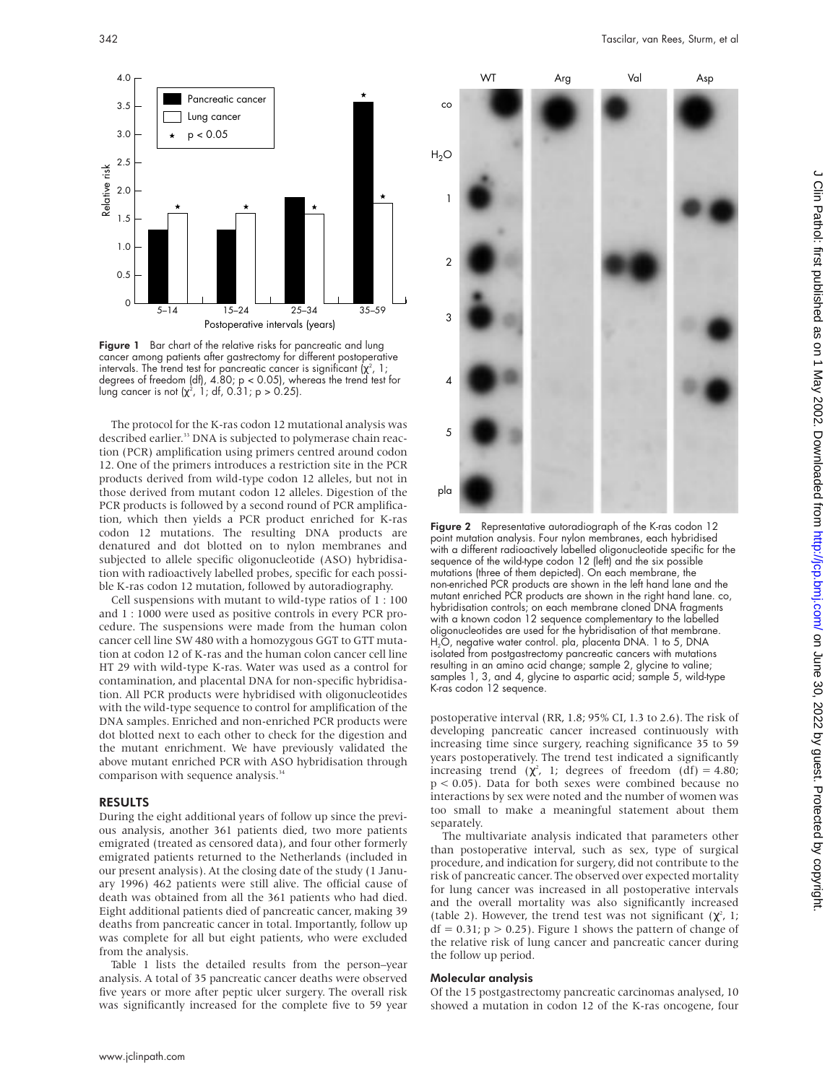

Figure 1 Bar chart of the relative risks for pancreatic and lung cancer among patients after gastrectomy for different postoperative intervals. The trend test for pancreatic cancer is significant ( $\chi^2$ , 1; degrees of freedom (df), 4.80; p < 0.05), whereas the trend test for lung cancer is not ( $\chi^2$ , 1; df, 0.31; p > 0.25).

The protocol for the K-ras codon 12 mutational analysis was described earlier.<sup>33</sup> DNA is subjected to polymerase chain reaction (PCR) amplification using primers centred around codon 12. One of the primers introduces a restriction site in the PCR products derived from wild-type codon 12 alleles, but not in those derived from mutant codon 12 alleles. Digestion of the PCR products is followed by a second round of PCR amplification, which then yields a PCR product enriched for K-ras codon 12 mutations. The resulting DNA products are denatured and dot blotted on to nylon membranes and subjected to allele specific oligonucleotide (ASO) hybridisation with radioactively labelled probes, specific for each possible K-ras codon 12 mutation, followed by autoradiography.

Cell suspensions with mutant to wild-type ratios of 1 : 100 and 1 : 1000 were used as positive controls in every PCR procedure. The suspensions were made from the human colon cancer cell line SW 480 with a homozygous GGT to GTT mutation at codon 12 of K-ras and the human colon cancer cell line HT 29 with wild-type K-ras. Water was used as a control for contamination, and placental DNA for non-specific hybridisation. All PCR products were hybridised with oligonucleotides with the wild-type sequence to control for amplification of the DNA samples. Enriched and non-enriched PCR products were dot blotted next to each other to check for the digestion and the mutant enrichment. We have previously validated the above mutant enriched PCR with ASO hybridisation through comparison with sequence analysis.<sup>34</sup>

### RESULTS

During the eight additional years of follow up since the previous analysis, another 361 patients died, two more patients emigrated (treated as censored data), and four other formerly emigrated patients returned to the Netherlands (included in our present analysis). At the closing date of the study (1 January 1996) 462 patients were still alive. The official cause of death was obtained from all the 361 patients who had died. Eight additional patients died of pancreatic cancer, making 39 deaths from pancreatic cancer in total. Importantly, follow up was complete for all but eight patients, who were excluded from the analysis.

Table 1 lists the detailed results from the person–year analysis. A total of 35 pancreatic cancer deaths were observed five years or more after peptic ulcer surgery. The overall risk was significantly increased for the complete five to 59 year



Figure 2 Representative autoradiograph of the K-ras codon 12 point mutation analysis. Four nylon membranes, each hybridised with a different radioactively labelled oligonucleotide specific for the sequence of the wild-type codon 12 (left) and the six possible mutations (three of them depicted). On each membrane, the non-enriched PCR products are shown in the left hand lane and the mutant enriched PCR products are shown in the right hand lane. co, hybridisation controls; on each membrane cloned DNA fragments with a known codon 12 sequence complementary to the labelled oligonucleotides are used for the hybridisation of that membrane. H<sub>2</sub>O, negative water control. pla, placenta DNA. 1 to 5, DNA isolated from postgastrectomy pancreatic cancers with mutations resulting in an amino acid change; sample 2, glycine to valine; samples 1, 3, and 4, glycine to aspartic acid; sample 5, wild-type K-ras codon 12 sequence.

postoperative interval (RR, 1.8; 95% CI, 1.3 to 2.6). The risk of developing pancreatic cancer increased continuously with increasing time since surgery, reaching significance 35 to 59 years postoperatively. The trend test indicated a significantly increasing trend ( $\chi^2$ , 1; degrees of freedom (df) = 4.80; p < 0.05). Data for both sexes were combined because no interactions by sex were noted and the number of women was too small to make a meaningful statement about them separately.

The multivariate analysis indicated that parameters other than postoperative interval, such as sex, type of surgical procedure, and indication for surgery, did not contribute to the risk of pancreatic cancer. The observed over expected mortality for lung cancer was increased in all postoperative intervals and the overall mortality was also significantly increased (table 2). However, the trend test was not significant  $(\chi^2$ , 1;  $df = 0.31$ ;  $p > 0.25$ ). Figure 1 shows the pattern of change of the relative risk of lung cancer and pancreatic cancer during the follow up period.

## Molecular analysis

Of the 15 postgastrectomy pancreatic carcinomas analysed, 10 showed a mutation in codon 12 of the K-ras oncogene, four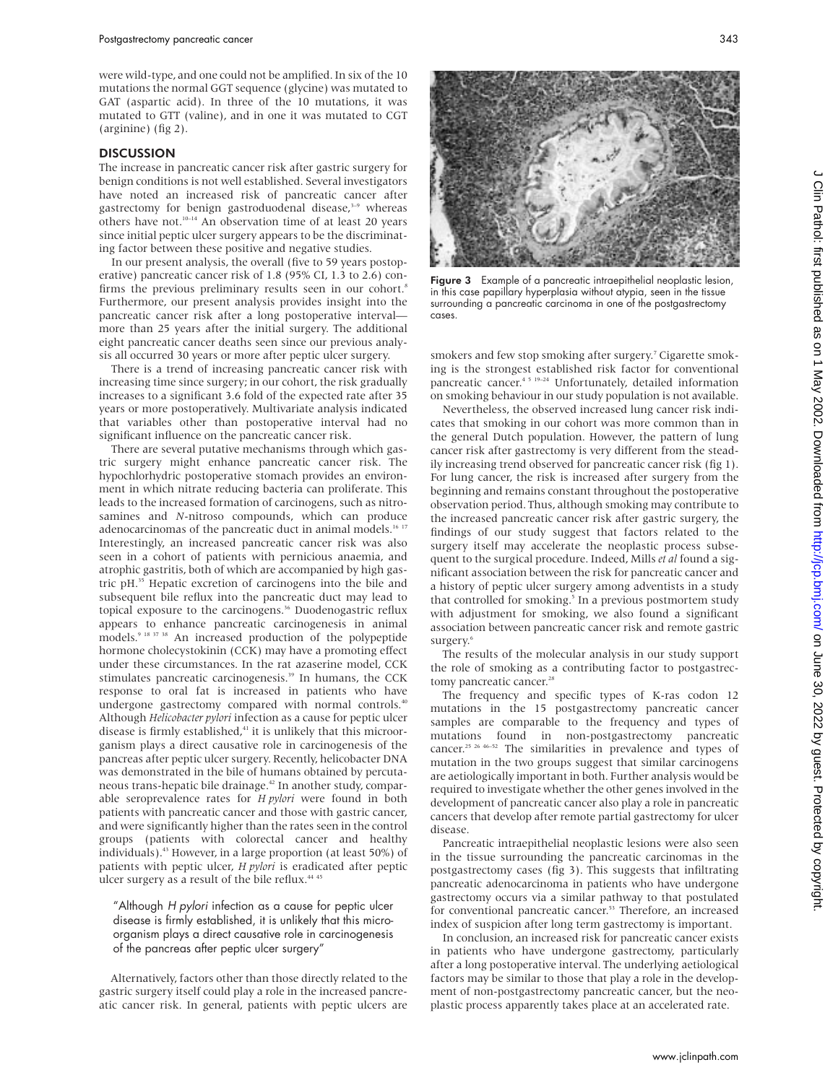were wild-type, and one could not be amplified. In six of the 10 mutations the normal GGT sequence (glycine) was mutated to GAT (aspartic acid). In three of the 10 mutations, it was mutated to GTT (valine), and in one it was mutated to CGT (arginine) (fig 2).

#### **DISCUSSION**

The increase in pancreatic cancer risk after gastric surgery for benign conditions is not well established. Several investigators have noted an increased risk of pancreatic cancer after gastrectomy for benign gastroduodenal disease,<sup>3-9</sup> whereas others have not.<sup>10–14</sup> An observation time of at least 20 years since initial peptic ulcer surgery appears to be the discriminating factor between these positive and negative studies.

In our present analysis, the overall (five to 59 years postoperative) pancreatic cancer risk of 1.8 (95% CI, 1.3 to 2.6) confirms the previous preliminary results seen in our cohort.<sup>8</sup> Furthermore, our present analysis provides insight into the pancreatic cancer risk after a long postoperative interval more than 25 years after the initial surgery. The additional eight pancreatic cancer deaths seen since our previous analysis all occurred 30 years or more after peptic ulcer surgery.

There is a trend of increasing pancreatic cancer risk with increasing time since surgery; in our cohort, the risk gradually increases to a significant 3.6 fold of the expected rate after 35 years or more postoperatively. Multivariate analysis indicated that variables other than postoperative interval had no significant influence on the pancreatic cancer risk.

There are several putative mechanisms through which gastric surgery might enhance pancreatic cancer risk. The hypochlorhydric postoperative stomach provides an environment in which nitrate reducing bacteria can proliferate. This leads to the increased formation of carcinogens, such as nitrosamines and *N*-nitroso compounds, which can produce adenocarcinomas of the pancreatic duct in animal models.<sup>16 17</sup> Interestingly, an increased pancreatic cancer risk was also seen in a cohort of patients with pernicious anaemia, and atrophic gastritis, both of which are accompanied by high gastric pH.35 Hepatic excretion of carcinogens into the bile and subsequent bile reflux into the pancreatic duct may lead to topical exposure to the carcinogens.<sup>36</sup> Duodenogastric reflux appears to enhance pancreatic carcinogenesis in animal models.9 18 37 38 An increased production of the polypeptide hormone cholecystokinin (CCK) may have a promoting effect under these circumstances. In the rat azaserine model, CCK stimulates pancreatic carcinogenesis.<sup>39</sup> In humans, the CCK response to oral fat is increased in patients who have undergone gastrectomy compared with normal controls.<sup>40</sup> Although *Helicobacter pylori* infection as a cause for peptic ulcer disease is firmly established,<sup>41</sup> it is unlikely that this microorganism plays a direct causative role in carcinogenesis of the pancreas after peptic ulcer surgery. Recently, helicobacter DNA was demonstrated in the bile of humans obtained by percutaneous trans-hepatic bile drainage.42 In another study, comparable seroprevalence rates for *H pylori* were found in both patients with pancreatic cancer and those with gastric cancer, and were significantly higher than the rates seen in the control groups (patients with colorectal cancer and healthy individuals).43 However, in a large proportion (at least 50%) of patients with peptic ulcer, *H pylori* is eradicated after peptic ulcer surgery as a result of the bile reflux.<sup>44 4</sup>

"Although <sup>H</sup> pylori infection as a cause for peptic ulcer disease is firmly established, it is unlikely that this microorganism plays a direct causative role in carcinogenesis of the pancreas after peptic ulcer surgery"

Alternatively, factors other than those directly related to the gastric surgery itself could play a role in the increased pancreatic cancer risk. In general, patients with peptic ulcers are



Figure 3 Example of a pancreatic intraepithelial neoplastic lesion, in this case papillary hyperplasia without atypia, seen in the tissue surrounding a pancreatic carcinoma in one of the postgastrectomy cases.

smokers and few stop smoking after surgery.<sup>7</sup> Cigarette smoking is the strongest established risk factor for conventional pancreatic cancer.4 5 19–24 Unfortunately, detailed information on smoking behaviour in our study population is not available.

Nevertheless, the observed increased lung cancer risk indicates that smoking in our cohort was more common than in the general Dutch population. However, the pattern of lung cancer risk after gastrectomy is very different from the steadily increasing trend observed for pancreatic cancer risk (fig 1). For lung cancer, the risk is increased after surgery from the beginning and remains constant throughout the postoperative observation period. Thus, although smoking may contribute to the increased pancreatic cancer risk after gastric surgery, the findings of our study suggest that factors related to the surgery itself may accelerate the neoplastic process subsequent to the surgical procedure. Indeed, Mills *et al* found a significant association between the risk for pancreatic cancer and a history of peptic ulcer surgery among adventists in a study that controlled for smoking.<sup>5</sup> In a previous postmortem study with adjustment for smoking, we also found a significant association between pancreatic cancer risk and remote gastric surgery.<sup>6</sup>

The results of the molecular analysis in our study support the role of smoking as a contributing factor to postgastrectomy pancreatic cancer.<sup>28</sup>

The frequency and specific types of K-ras codon 12 mutations in the 15 postgastrectomy pancreatic cancer samples are comparable to the frequency and types of mutations found in non-postgastrectomy pancreatic cancer.<sup>25 26 46–52</sup> The similarities in prevalence and types of mutation in the two groups suggest that similar carcinogens are aetiologically important in both. Further analysis would be required to investigate whether the other genes involved in the development of pancreatic cancer also play a role in pancreatic cancers that develop after remote partial gastrectomy for ulcer disease.

Pancreatic intraepithelial neoplastic lesions were also seen in the tissue surrounding the pancreatic carcinomas in the postgastrectomy cases (fig 3). This suggests that infiltrating pancreatic adenocarcinoma in patients who have undergone gastrectomy occurs via a similar pathway to that postulated for conventional pancreatic cancer.<sup>53</sup> Therefore, an increased index of suspicion after long term gastrectomy is important.

In conclusion, an increased risk for pancreatic cancer exists in patients who have undergone gastrectomy, particularly after a long postoperative interval. The underlying aetiological factors may be similar to those that play a role in the development of non-postgastrectomy pancreatic cancer, but the neoplastic process apparently takes place at an accelerated rate.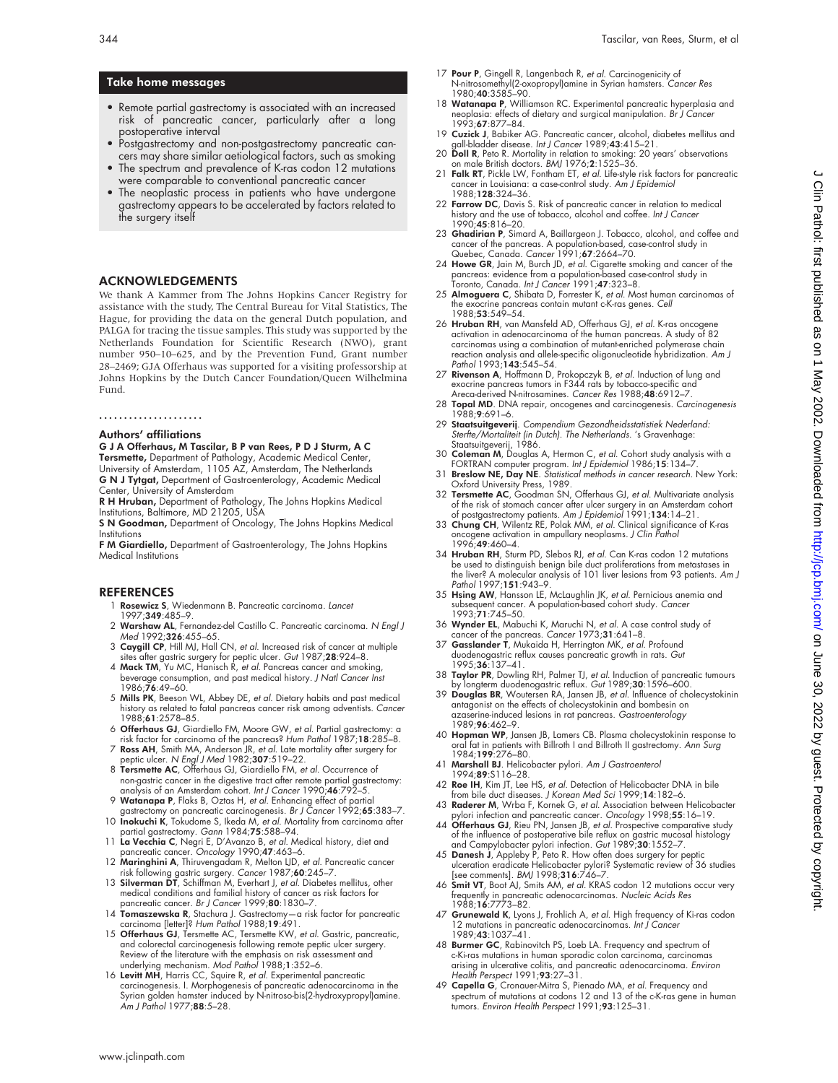#### 344 Tascilar, van Rees, Sturm, et al

# Take home messages

- Remote partial gastrectomy is associated with an increased risk of pancreatic cancer, particularly after a long postoperative interval
- Postgastrectomy and non-postgastrectomy pancreatic cancers may share similar aetiological factors, such as smoking
- The spectrum and prevalence of K-ras codon 12 mutations were comparable to conventional pancreatic cancer
- The neoplastic process in patients who have undergone gastrectomy appears to be accelerated by factors related to the surgery itself

# ACKNOWLEDGEMENTS

We thank A Kammer from The Johns Hopkins Cancer Registry for assistance with the study, The Central Bureau for Vital Statistics, The Hague, for providing the data on the general Dutch population, and PALGA for tracing the tissue samples. This study was supported by the Netherlands Foundation for Scientific Research (NWO), grant number 950–10–625, and by the Prevention Fund, Grant number 28–2469; GJA Offerhaus was supported for a visiting professorship at Johns Hopkins by the Dutch Cancer Foundation/Queen Wilhelmina Fund.

.....................

#### Authors' affiliations

G J A Offerhaus, M Tascilar, B P van Rees, P D J Sturm, A C

**Tersmette,** Department of Pathology, Academic Medical Center,<br>University of Amsterdam, 1105 AZ, Amsterdam, The Netherlands G N J Tytgat, Department of Gastroenterology, Academic Medical Center, University of Amsterdam

R H Hruban, Department of Pathology, The Johns Hopkins Medical Institutions, Baltimore, MD 21205, USA

S N Goodman, Department of Oncology, The Johns Hopkins Medical Institutions

F M Giardiello, Department of Gastroenterology, The Johns Hopkins Medical Institutions

#### **REFERENCES**

- 1 Rosewicz S, Wiedenmann B. Pancreatic carcinoma. Lancet 1997;349:485–9.
- 2 Warshaw AL, Fernandez-del Castillo C. Pancreatic carcinoma. N Engl J Med 1992;326:455–65.
- 3 Caygill CP, Hill MJ, Hall CN, et al. Increased risk of cancer at multiple sites after gastric surgery for peptic ulcer. *Gut* 1987;**28**:924–8.<br>4 **Mack TM**, Yu MC, Hanisch R, *et al*. Pancreas cancer and smoking,
- beverage consumption, and past medical history. J Natl Cancer Inst 1986;76:49–60.
- 5 Mills PK, Beeson WL, Abbey DE, et al. Dietary habits and past medical history as related to fatal pancreas cancer risk among adventists. Cancer 1988;61:2578–85.
- 6 Offerhaus GJ, Giardiello FM, Moore GW, et al. Partial gastrectomy: a risk factor for carcinoma of the pancreas? Hum Pathol 1987;18:285–8.
- 7 **Ross AH**, Smith MA, Anderson JR, *et al*. Late mortality after surgery for<br>peptic ulcer. N *Engl J Med* 1982;3**07**:519–22.<br>8 **Tersmette AC**, Offerhaus GJ, Giardiello FM, *et al*. Occurrence of
- non-gastric cancer in the digestive tract after remote partial gastrectomy:<br>analysis of an Amsterdam cohort. *Int J Cancer* 1990;**46**:792–5.
- 9 Watanapa P, Flaks B, Oztas H, et al. Enhancing effect of partial
- gastrectomy on pancreatic carcinogenesis. Br J Cancer 1992;65:383-7 10 Inokuchi K, Tokudome S, Ikeda M, et al. Mortality from carcinoma after partial gastrectomy. Gann 1984;75:588–94.
- 11 **La Vecchia C**, Negri E, D'Avanzo B, *et al. M*edical history, diet and<br>pancreatic cancer. Oncology 1990;4**7**:463–6.<br>12 **Maringhini A**, Thiruvengadam R, Melton LJD, *et al.* Pancreatic cancer
- 
- risk following gastric surgery. Cancer 1987;60:245–7.<br>13 Silverman DT, Schiffman M, Evenhart J, et al. Diabetes mellitus, other medical conditions and familial history of cancer as risk factors for pancreatic cancer. Br J
- 14 Tomaszewska R, Stachura J. Gastrectomy-a risk factor for pancreatic carcinoma [letter]? Hum Pathol 1988;19:491. 15 Offerhaus GJ, Tersmette AC, Tersmette KW, et al. Gastric, pancreatic,
- and colorectal carcinogenesis tollowing remote peptic ulcer surgery.<br>Review of the literature with the emphasis on risk assessment and<br>underlying mechanism. Mod Pathol 1988;1:352–6.<br>16 **Levitt MH**, Harris CC, Squire R, *et*
- carcinogenesis. I. Morphogenesis of pancreatic adenocarcinoma in the Syrian golden hamster induced by N-nitroso-bis(2-hydroxypropyl)amine. Am J Pathol 1977;88:5–28.
- 17 Pour P, Gingell R, Langenbach R, et al. Carcinogenicity of N-nitrosomethyl(2-oxopropyl)amine in Syrian hamsters. Cancer Res 1980;40:3585-90.
- 18 Watanapa P, Williamson RC. Experimental pancreatic hyperplasia and neoplasia: effects of dietary and surgical manipulation. Br J Cancer 1993;67:877–84.
- 19 Cuzick J, Babiker AG. Pancreatic cancer, alcohol, diabetes mellitus and all-bladder disease. Int J Cancer 1989;43:415-21.
- 20 Doll R, Peto R. Mortality in relation to smoking: 20 years' observations on male British doctors. BMJ 1976;2:1525–36.
- 21 Falk RT, Pickle LW, Fontham ET, et al. Life-style risk factors for pancreatic cancer in Louisiana: a case-control study. Am J Epidemiol 1988;128:324–36.
- 22 Farrow DC, Davis S. Risk of pancreatic cancer in relation to medical history and the use of tobacco, alcohol and coffee. Int J Cancer 1990;45:816–20.
- 
- 23 **Ghadirian P**, Simard A, Baillargeon J. Tobacco, alcohol, and coffee and<br>cancer of the pancreas. A population-based, case-control study in<br>Quebec, Canada. Cancer 1991;6**7**:2664–70.<br>24 **Howe GR**, Jain M, Burch JD, et al.
- 25 Almoguera C, Shibata D, Forrester K, et al. Most human carcinomas of the exocrine pancreas contain mutant c-K-ras genes. Cell 1988;53:549–54.
- 26 Hruban RH, van Mansfeld AD, Offerhaus GJ, et al. K-ras oncogene activation in adenocarcinoma of the human pancreas. A study of 82 carcinomas using a combination of mutant-enriched polymerase chain reaction analysis and allele-specific oligonucleotide hybridization. A*m J*<br>Pathol 1993;**143**:545–54.
- 27 Rivenson A, Hoffmann D, Prokopczyk B, et al. Induction of lung and exocrine pancreas tumors in F344 rats by tobacco-specific and Areca-derived N-nitrosamines. Cancer Res 1988;48:6912–7.
- 28 Topal MD. DNA repair, oncogenes and carcinogenesis. Carcinogenesis 1988;9:691–6.
- 29 Staatsuitgeverij. Compendium Gezondheidsstatistiek Nederland: Sterfte/Mortaliteit (in Dutch). The Netherlands. 's Gravenhage: Staatsuitgeverij, 1986.
- 30 Coleman M, Douglas A, Hermon C, et al. Cohort study analysis with a
- FORTRAN computer program. Int J Epidemiol 1986;15:134–7.<br>31 Breslow NE, Day NE. Statistical methods in cancer research. New York:
- Oxford University Press, 1989.<br>32 **Tersmette AC**, Goodman SN, Offerhaus GJ, *et al*. Multivariate analysis
- of the risk of stomach cancer after ulcer surgery in an Amsterdam cohort<br>30 Chostgastrectomy patients. Am J Epidemiol 1991;134:14–21.<br>33 Chung CH, Wilentz RE, Polak MM, *et al.* Clinical significance of K-ras<br>30 Congene ac 1996;49:460–4.
- 34 Hruban RH, Sturm PD, Slebos RJ, et al. Can K-ras codon 12 mutations be used to distinguish benign bile duct proliterations from metastases in<br>the liver? A molecular analysis of 101 liver lesions from 93 patients. *Am J* Pathol 1997;151:943–9.
- 35 Hsing AW, Hansson LE, McLaughlin JK, et al. Pernicious anemia and subsequent cancer. A population-based cohort study. Cancer 1993;71:745–50.
- 36 Wynder EL, Mabuchi K, Maruchi N, et al. A case control study of cancer of the pancreas. Cancer 1973;31:641–8.
- 37 Gasslander T, Mukaida H, Herrington MK, et al. Profound duodenogastric reflux causes pancreatic growth in rats. Gut 1995;36:137–41.
- 38 Taylor PR, Dowling RH, Palmer TJ, et al. Induction of pancreatic tumours
- by longterm duodenogastric reflux. *Gut* 1989;**30**:1596–600.<br>39 **Douglas BR,** Woutersen RA, Jansen JB, *et al.* Influence of cholecystokinin<br>antagonist on the effects of cholecystokinin and bombesin on azaserine-induced lesions in rat pancreas. Gastroenterology 1989;96:462–9.
- 40 Hopman WP, Jansen JB, Lamers CB. Plasma cholecystokinin response to oral fat in patients with Billroth I and Billroth II gastrectomy. Ann Surg 1984;199:276–80.
- 41 Marshall BJ. Helicobacter pylori. Am J Gastroenterol
- 1994;89:S116–28. 42 Roe IH, Kim JT, Lee HS, et al. Detection of Helicobacter DNA in bile from bile duct diseases. J Korean Med Sci 1999;14:182–6.
- 43 Raderer M, Wrba F, Kornek G, et al. Association between Helicobacter pylori infection and pancreatic cancer. Oncology 1998;55:16-19.
- 44 Offerhaus GJ, Rieu PN, Jansen JB, et al. Prospective comparative study of the influence of postoperative bile reflux on gastric mucosal histology
- and Campylobacter pylori infection. *Gut* 1989;3**0**:1552–7.<br>45 **Danesh J**, Appleby P, Peto R. How often does surgery for peptic<br>ulceration eradicate Helicobacter pylori<sup>g</sup> Systematic review of 36 studies<br>[see comments]. BM
- frequently in pancreatic adenocarcinomas. Nucleic Acids Res 1988;16:7773–82.
- 47 Grunewald K, Lyons J, Frohlich A, et al. High frequency of Ki-ras codon 12 mutations in pancreatic adenocarcinomas. Int J Cancer 1989;43:1037–41.
- 48 Burmer GC, Rabinovitch PS, Loeb LA. Frequency and spectrum of c-Ki-ras mutations in human sporadic colon carcinoma, carcinomas arising in ulcerative colitis, and pancreatic adenocarcinoma. *Environ<br>Health Perspect* 1991;**93**:27–31.<br>49 **Capella G**, Cronauer-Mitra S, Pienado MA, *et al*. Frequency and
- spectrum of mutations at codons 12 and 13 of the c-K-ras gene in human tumors. Environ Health Perspect 1991;93:125-31.